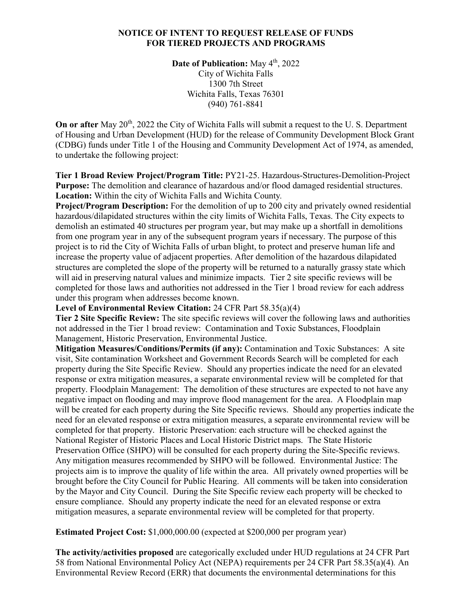### **NOTICE OF INTENT TO REQUEST RELEASE OF FUNDS FOR TIERED PROJECTS AND PROGRAMS**

**Date of Publication:** May 4<sup>th</sup>, 2022 City of Wichita Falls 1300 7th Street Wichita Falls, Texas 76301 (940) 761-8841

**On or after** May 20<sup>th</sup>, 2022 the City of Wichita Falls will submit a request to the U. S. Department of Housing and Urban Development (HUD) for the release of Community Development Block Grant (CDBG) funds under Title 1 of the Housing and Community Development Act of 1974, as amended, to undertake the following project:

**Tier 1 Broad Review Project/Program Title:** PY21-25. Hazardous-Structures-Demolition-Project **Purpose:** The demolition and clearance of hazardous and/or flood damaged residential structures. **Location:** Within the city of Wichita Falls and Wichita County*.*

**Project/Program Description:** For the demolition of up to 200 city and privately owned residential hazardous/dilapidated structures within the city limits of Wichita Falls, Texas. The City expects to demolish an estimated 40 structures per program year, but may make up a shortfall in demolitions from one program year in any of the subsequent program years if necessary. The purpose of this project is to rid the City of Wichita Falls of urban blight, to protect and preserve human life and increase the property value of adjacent properties. After demolition of the hazardous dilapidated structures are completed the slope of the property will be returned to a naturally grassy state which will aid in preserving natural values and minimize impacts. Tier 2 site specific reviews will be completed for those laws and authorities not addressed in the Tier 1 broad review for each address under this program when addresses become known.

**Level of Environmental Review Citation:** 24 CFR Part 58.35(a)(4)

**Tier 2 Site Specific Review:** The site specific reviews will cover the following laws and authorities not addressed in the Tier 1 broad review:Contamination and Toxic Substances, Floodplain Management, Historic Preservation, Environmental Justice.

**Mitigation Measures/Conditions/Permits (if any):** Contamination and Toxic Substances: A site visit, Site contamination Worksheet and Government Records Search will be completed for each property during the Site Specific Review. Should any properties indicate the need for an elevated response or extra mitigation measures, a separate environmental review will be completed for that property. Floodplain Management: The demolition of these structures are expected to not have any negative impact on flooding and may improve flood management for the area. A Floodplain map will be created for each property during the Site Specific reviews. Should any properties indicate the need for an elevated response or extra mitigation measures, a separate environmental review will be completed for that property. Historic Preservation: each structure will be checked against the National Register of Historic Places and Local Historic District maps. The State Historic Preservation Office (SHPO) will be consulted for each property during the Site-Specific reviews. Any mitigation measures recommended by SHPO will be followed. Environmental Justice: The projects aim is to improve the quality of life within the area. All privately owned properties will be brought before the City Council for Public Hearing. All comments will be taken into consideration by the Mayor and City Council. During the Site Specific review each property will be checked to ensure compliance. Should any property indicate the need for an elevated response or extra mitigation measures, a separate environmental review will be completed for that property.

**Estimated Project Cost:** \$1,000,000.00 (expected at \$200,000 per program year)

**The activity/activities proposed** are categorically excluded under HUD regulations at 24 CFR Part 58 from National Environmental Policy Act (NEPA) requirements per 24 CFR Part 58.35(a)(4)*.* An Environmental Review Record (ERR) that documents the environmental determinations for this